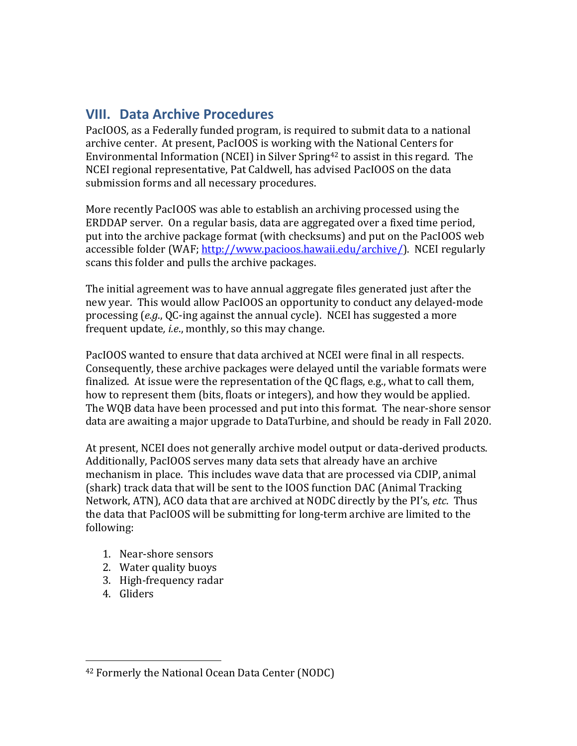# **VIII. Data Archive Procedures**

PacIOOS, as a Federally funded program, is required to submit data to a national archive center. At present, PacIOOS is working with the National Centers for Environmental Information (NCEI) in Silver Spring<sup>42</sup> to assist in this regard. The NCEI regional representative, Pat Caldwell, has advised PacIOOS on the data submission forms and all necessary procedures.

More recently PacIOOS was able to establish an archiving processed using the ERDDAP server. On a regular basis, data are aggregated over a fixed time period, put into the archive package format (with checksums) and put on the PacIOOS web accessible folder (WAF; http://www.pacioos.hawaii.edu/archive/). NCEI regularly scans this folder and pulls the archive packages.

The initial agreement was to have annual aggregate files generated just after the new year. This would allow PacIOOS an opportunity to conduct any delayed-mode processing (e.g., QC-ing against the annual cycle). NCEI has suggested a more frequent update, *i.e.*, monthly, so this may change.

PacIOOS wanted to ensure that data archived at NCEI were final in all respects. Consequently, these archive packages were delayed until the variable formats were finalized. At issue were the representation of the QC flags, e.g., what to call them, how to represent them (bits, floats or integers), and how they would be applied. The WQB data have been processed and put into this format. The near-shore sensor data are awaiting a major upgrade to DataTurbine, and should be ready in Fall 2020.

At present, NCEI does not generally archive model output or data-derived products. Additionally, PacIOOS serves many data sets that already have an archive mechanism in place. This includes wave data that are processed via CDIP, animal (shark) track data that will be sent to the IOOS function DAC (Animal Tracking Network, ATN), ACO data that are archived at NODC directly by the PI's, *etc*. Thus the data that PacIOOS will be submitting for long-term archive are limited to the following:

- 1. Near-shore sensors
- 2. Water quality buoys
- 3. High-frequency radar
- 4. Gliders

<sup>&</sup>lt;sup>42</sup> Formerly the National Ocean Data Center (NODC)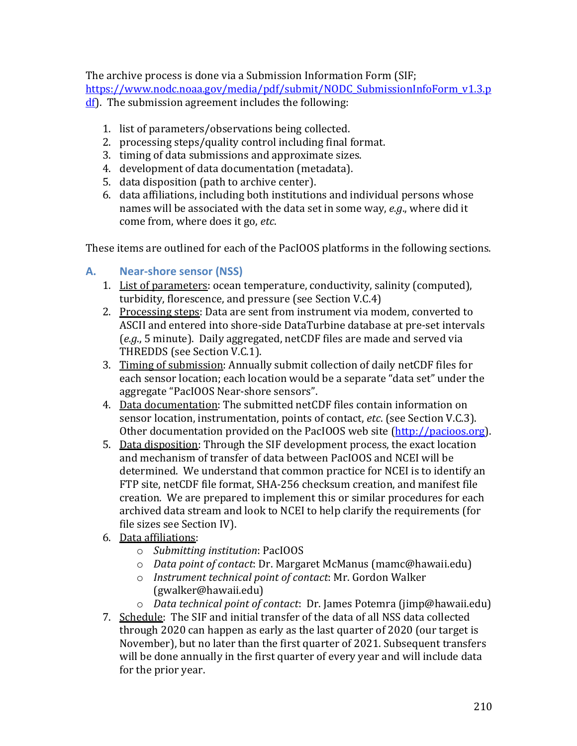The archive process is done via a Submission Information Form (SIF; https://www.nodc.noaa.gov/media/pdf/submit/NODC\_SubmissionInfoForm\_v1.3.p  $df$ ). The submission agreement includes the following:

- 1. list of parameters/observations being collected.
- 2. processing steps/quality control including final format.
- 3. timing of data submissions and approximate sizes.
- 4. development of data documentation (metadata).
- 5. data disposition (path to archive center).
- 6. data affiliations, including both institutions and individual persons whose names will be associated with the data set in some way, *e.g.*, where did it come from, where does it go, *etc*.

These items are outlined for each of the PacIOOS platforms in the following sections.

### **A. Near-shore sensor (NSS)**

- 1. List of parameters: ocean temperature, conductivity, salinity (computed), turbidity, florescence, and pressure (see Section V.C.4)
- 2. Processing steps: Data are sent from instrument via modem, converted to ASCII and entered into shore-side DataTurbine database at pre-set intervals (*e.g.*, 5 minute). Daily aggregated, netCDF files are made and served via THREDDS (see Section V.C.1).
- 3. Timing of submission: Annually submit collection of daily netCDF files for each sensor location; each location would be a separate "data set" under the aggregate "PacIOOS Near-shore sensors".
- 4. Data documentation: The submitted netCDF files contain information on sensor location, instrumentation, points of contact, *etc*. (see Section V.C.3). Other documentation provided on the PacIOOS web site (http://pacioos.org).
- 5. Data disposition: Through the SIF development process, the exact location and mechanism of transfer of data between PacIOOS and NCEI will be determined. We understand that common practice for NCEI is to identify an FTP site, netCDF file format, SHA-256 checksum creation, and manifest file creation. We are prepared to implement this or similar procedures for each archived data stream and look to NCEI to help clarify the requirements (for file sizes see Section IV).
- 6. Data affiliations:
	- o *Submitting institution*: PacIOOS
	- $\circ$  *Data point of contact*: Dr. Margaret McManus (mamc@hawaii.edu)
	- o *Instrument technical point of contact*: Mr. Gordon Walker (gwalker@hawaii.edu)
- o *Data technical point of contact*: Dr. James Potemra (jimp@hawaii.edu) 7. Schedule: The SIF and initial transfer of the data of all NSS data collected through 2020 can happen as early as the last quarter of 2020 (our target is November), but no later than the first quarter of 2021. Subsequent transfers will be done annually in the first quarter of every year and will include data for the prior year.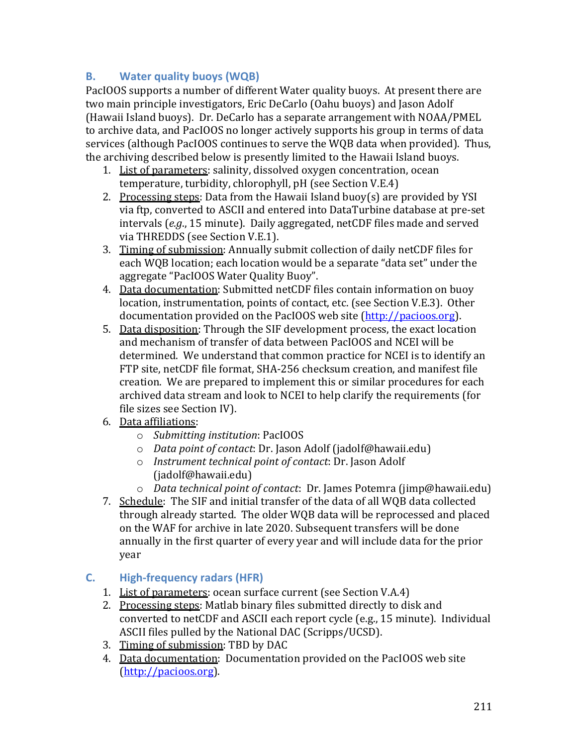## **B. Water quality buoys (WQB)**

PacIOOS supports a number of different Water quality buoys. At present there are two main principle investigators, Eric DeCarlo (Oahu buoys) and Jason Adolf (Hawaii Island buoys). Dr. DeCarlo has a separate arrangement with NOAA/PMEL to archive data, and PacIOOS no longer actively supports his group in terms of data services (although PacIOOS continues to serve the WQB data when provided). Thus, the archiving described below is presently limited to the Hawaii Island buoys.

- 1. List of parameters: salinity, dissolved oxygen concentration, ocean temperature, turbidity, chlorophyll, pH (see Section V.E.4)
- 2. Processing steps: Data from the Hawaii Island buoy(s) are provided by YSI via ftp, converted to ASCII and entered into DataTurbine database at pre-set intervals (e.g., 15 minute). Daily aggregated, netCDF files made and served via THREDDS (see Section V.E.1).
- 3. Timing of submission: Annually submit collection of daily netCDF files for each WQB location; each location would be a separate "data set" under the aggregate "PacIOOS Water Quality Buoy".
- 4. Data documentation: Submitted netCDF files contain information on buoy location, instrumentation, points of contact, etc. (see Section V.E.3). Other documentation provided on the PacIOOS web site (http://pacioos.org).
- 5. Data disposition: Through the SIF development process, the exact location and mechanism of transfer of data between PacIOOS and NCEI will be determined. We understand that common practice for NCEI is to identify an FTP site, netCDF file format, SHA-256 checksum creation, and manifest file creation. We are prepared to implement this or similar procedures for each archived data stream and look to NCEI to help clarify the requirements (for file sizes see Section IV).
- 6. Data affiliations:
	- o *Submitting institution*: PacIOOS
	- $\circ$  *Data point of contact*: Dr. Jason Adolf (jadolf@hawaii.edu)
	- o *Instrument technical point of contact*: Dr. Jason Adolf (jadolf@hawaii.edu)
	- o *Data technical point of contact*: Dr. James Potemra (jimp@hawaii.edu)
- 7. Schedule: The SIF and initial transfer of the data of all WQB data collected through already started. The older WQB data will be reprocessed and placed on the WAF for archive in late 2020. Subsequent transfers will be done annually in the first quarter of every year and will include data for the prior year

### **C. High-frequency radars (HFR)**

- 1. List of parameters: ocean surface current (see Section V.A.4)
- 2. Processing steps: Matlab binary files submitted directly to disk and converted to netCDF and ASCII each report cycle (e.g., 15 minute). Individual ASCII files pulled by the National DAC (Scripps/UCSD).
- 3. Timing of submission: TBD by DAC
- 4. Data documentation: Documentation provided on the PacIOOS web site (http://pacioos.org).